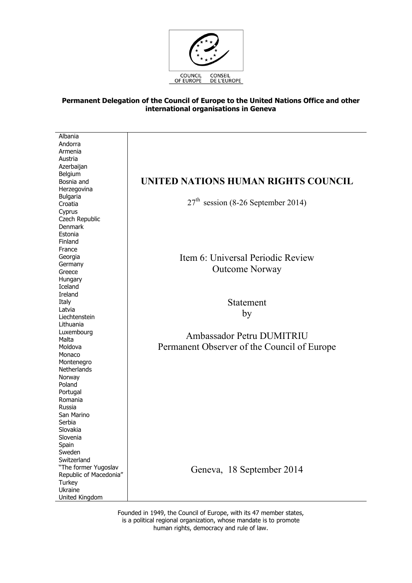

## **Permanent Delegation of the Council of Europe to the United Nations Office and other international organisations in Geneva**

Albania Andorra Armenia Austria Azerbaijan Belgium Bosnia and Herzegovina Bulgaria **Croatia** Cyprus Czech Republic Denmark Estonia Finland France Georgia Germany Greece **Hungary** Iceland Ireland Italy Latvia Liechtenstein Lithuania Luxembourg Malta Moldova Monaco Montenegro **Netherlands** Norway Poland Portugal Romania Russia San Marino Serbia Slovakia Slovenia Spain Sweden Switzerland "The former Yugoslav Republic of Macedonia" Turkey Ukraine United Kingdom

## **UNITED NATIONS HUMAN RIGHTS COUNCIL**

 $27<sup>th</sup>$  session (8-26 September 2014)

Item 6: Universal Periodic Review Outcome Norway

> Statement by

Ambassador Petru DUMITRIU Permanent Observer of the Council of Europe

Geneva, 18 September 2014

Founded in 1949, the Council of Europe, with its 47 member states, is a political regional organization, whose mandate is to promote human rights, democracy and rule of law.